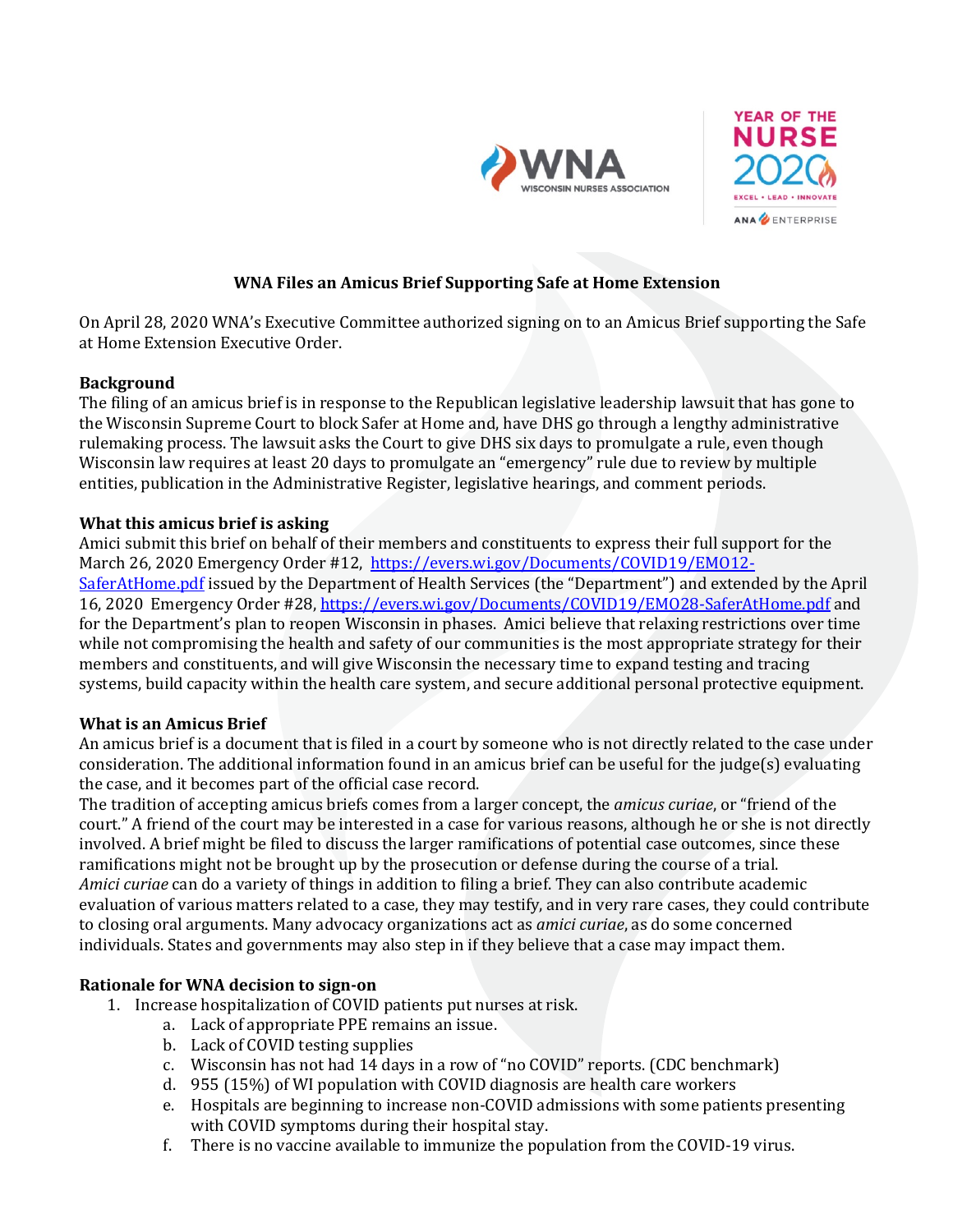



# **WNA Files an Amicus Brief Supporting Safe at Home Extension**

On April 28, 2020 WNA's Executive Committee authorized signing on to an Amicus Brief supporting the Safe at Home Extension Executive Order.

### **Background**

The filing of an amicus brief is in response to the Republican legislative leadership lawsuit that has gone to the Wisconsin Supreme Court to block Safer at Home and, have DHS go through a lengthy administrative rulemaking process. The lawsuit asks the Court to give DHS six days to promulgate a rule, even though Wisconsin law requires at least 20 days to promulgate an "emergency" rule due to review by multiple entities, publication in the Administrative Register, legislative hearings, and comment periods.

### **What this amicus brief is asking**

Amici submit this brief on behalf of their members and constituents to express their full support for the March 26, 2020 Emergency Order #12, https://evers.wi.gov/Documents/COVID19/EM012-SaferAtHome.pdf issued by the Department of Health Services (the "Department") and extended by the April 16, 2020 Emergency Order #28, https://evers.wi.gov/Documents/COVID19/EMO28-SaferAtHome.pdf and for the Department's plan to reopen Wisconsin in phases. Amici believe that relaxing restrictions over time while not compromising the health and safety of our communities is the most appropriate strategy for their members and constituents, and will give Wisconsin the necessary time to expand testing and tracing systems, build capacity within the health care system, and secure additional personal protective equipment.

#### **What is an Amicus Brief**

An amicus brief is a document that is filed in a court by someone who is not directly related to the case under consideration. The additional information found in an amicus brief can be useful for the judge(s) evaluating the case, and it becomes part of the official case record.

The tradition of accepting amicus briefs comes from a larger concept, the *amicus curiae*, or "friend of the court." A friend of the court may be interested in a case for various reasons, although he or she is not directly involved. A brief might be filed to discuss the larger ramifications of potential case outcomes, since these ramifications might not be brought up by the prosecution or defense during the course of a trial. *Amici curiae* can do a variety of things in addition to filing a brief. They can also contribute academic evaluation of various matters related to a case, they may testify, and in very rare cases, they could contribute to closing oral arguments. Many advocacy organizations act as *amici curiae*, as do some concerned individuals. States and governments may also step in if they believe that a case may impact them.

## **Rationale for WNA decision to sign-on**

- 1. Increase hospitalization of COVID patients put nurses at risk.
	- a. Lack of appropriate PPE remains an issue.
	- b. Lack of COVID testing supplies
	- c. Wisconsin has not had 14 days in a row of "no COVID" reports. (CDC benchmark)
	- d.  $955(15%)$  of WI population with COVID diagnosis are health care workers
	- e. Hospitals are beginning to increase non-COVID admissions with some patients presenting with COVID symptoms during their hospital stay.
	- f. There is no vaccine available to immunize the population from the COVID-19 virus.